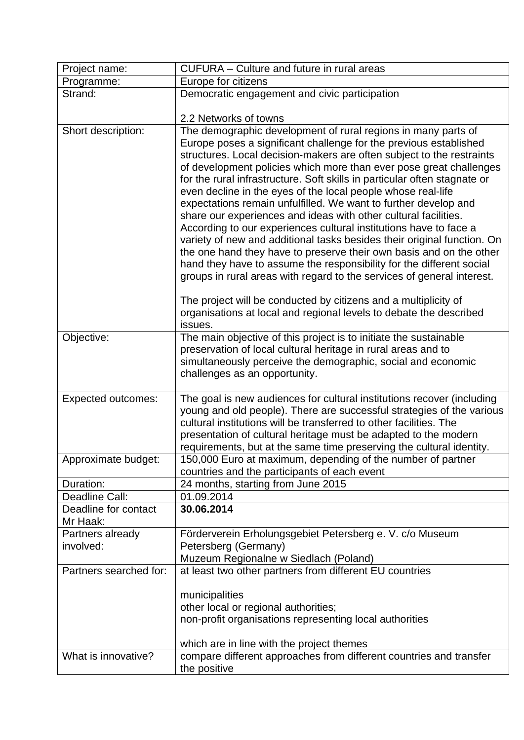| Project name:                    | CUFURA - Culture and future in rural areas                                                                                                                                                                                                                                                                                                                                                                                                                                                                                                                                                                                                                                                                                                                                                                                                                                                                                                                                                                                                                                             |
|----------------------------------|----------------------------------------------------------------------------------------------------------------------------------------------------------------------------------------------------------------------------------------------------------------------------------------------------------------------------------------------------------------------------------------------------------------------------------------------------------------------------------------------------------------------------------------------------------------------------------------------------------------------------------------------------------------------------------------------------------------------------------------------------------------------------------------------------------------------------------------------------------------------------------------------------------------------------------------------------------------------------------------------------------------------------------------------------------------------------------------|
| Programme:                       | Europe for citizens                                                                                                                                                                                                                                                                                                                                                                                                                                                                                                                                                                                                                                                                                                                                                                                                                                                                                                                                                                                                                                                                    |
| Strand:                          | Democratic engagement and civic participation                                                                                                                                                                                                                                                                                                                                                                                                                                                                                                                                                                                                                                                                                                                                                                                                                                                                                                                                                                                                                                          |
|                                  |                                                                                                                                                                                                                                                                                                                                                                                                                                                                                                                                                                                                                                                                                                                                                                                                                                                                                                                                                                                                                                                                                        |
|                                  | 2.2 Networks of towns                                                                                                                                                                                                                                                                                                                                                                                                                                                                                                                                                                                                                                                                                                                                                                                                                                                                                                                                                                                                                                                                  |
| Short description:               | The demographic development of rural regions in many parts of<br>Europe poses a significant challenge for the previous established<br>structures. Local decision-makers are often subject to the restraints<br>of development policies which more than ever pose great challenges<br>for the rural infrastructure. Soft skills in particular often stagnate or<br>even decline in the eyes of the local people whose real-life<br>expectations remain unfulfilled. We want to further develop and<br>share our experiences and ideas with other cultural facilities.<br>According to our experiences cultural institutions have to face a<br>variety of new and additional tasks besides their original function. On<br>the one hand they have to preserve their own basis and on the other<br>hand they have to assume the responsibility for the different social<br>groups in rural areas with regard to the services of general interest.<br>The project will be conducted by citizens and a multiplicity of<br>organisations at local and regional levels to debate the described |
|                                  | issues.                                                                                                                                                                                                                                                                                                                                                                                                                                                                                                                                                                                                                                                                                                                                                                                                                                                                                                                                                                                                                                                                                |
| Objective:                       | The main objective of this project is to initiate the sustainable<br>preservation of local cultural heritage in rural areas and to<br>simultaneously perceive the demographic, social and economic<br>challenges as an opportunity.                                                                                                                                                                                                                                                                                                                                                                                                                                                                                                                                                                                                                                                                                                                                                                                                                                                    |
| <b>Expected outcomes:</b>        | The goal is new audiences for cultural institutions recover (including<br>young and old people). There are successful strategies of the various<br>cultural institutions will be transferred to other facilities. The<br>presentation of cultural heritage must be adapted to the modern<br>requirements, but at the same time preserving the cultural identity.                                                                                                                                                                                                                                                                                                                                                                                                                                                                                                                                                                                                                                                                                                                       |
| Approximate budget:              | 150,000 Euro at maximum, depending of the number of partner<br>countries and the participants of each event                                                                                                                                                                                                                                                                                                                                                                                                                                                                                                                                                                                                                                                                                                                                                                                                                                                                                                                                                                            |
| Duration:                        | 24 months, starting from June 2015                                                                                                                                                                                                                                                                                                                                                                                                                                                                                                                                                                                                                                                                                                                                                                                                                                                                                                                                                                                                                                                     |
| Deadline Call:                   | 01.09.2014                                                                                                                                                                                                                                                                                                                                                                                                                                                                                                                                                                                                                                                                                                                                                                                                                                                                                                                                                                                                                                                                             |
| Deadline for contact<br>Mr Haak: | 30.06.2014                                                                                                                                                                                                                                                                                                                                                                                                                                                                                                                                                                                                                                                                                                                                                                                                                                                                                                                                                                                                                                                                             |
| Partners already<br>involved:    | Förderverein Erholungsgebiet Petersberg e. V. c/o Museum<br>Petersberg (Germany)<br>Muzeum Regionalne w Siedlach (Poland)                                                                                                                                                                                                                                                                                                                                                                                                                                                                                                                                                                                                                                                                                                                                                                                                                                                                                                                                                              |
| Partners searched for:           | at least two other partners from different EU countries                                                                                                                                                                                                                                                                                                                                                                                                                                                                                                                                                                                                                                                                                                                                                                                                                                                                                                                                                                                                                                |
|                                  | municipalities<br>other local or regional authorities;<br>non-profit organisations representing local authorities<br>which are in line with the project themes                                                                                                                                                                                                                                                                                                                                                                                                                                                                                                                                                                                                                                                                                                                                                                                                                                                                                                                         |
| What is innovative?              | compare different approaches from different countries and transfer                                                                                                                                                                                                                                                                                                                                                                                                                                                                                                                                                                                                                                                                                                                                                                                                                                                                                                                                                                                                                     |
|                                  | the positive                                                                                                                                                                                                                                                                                                                                                                                                                                                                                                                                                                                                                                                                                                                                                                                                                                                                                                                                                                                                                                                                           |